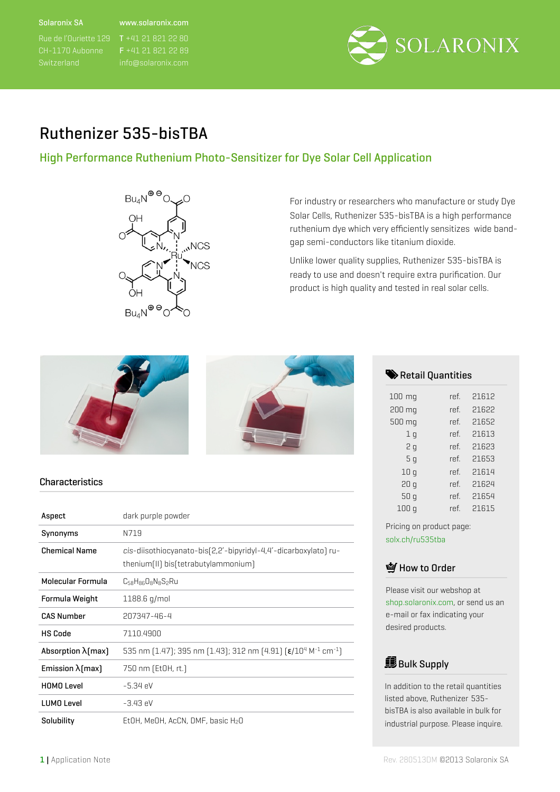#### Solaronix SA

#### www.solaronix.com

F +41 21 821 22 89



# Ruthenizer 535-bisTBA

### High Performance Ruthenium Photo-Sensitizer for Dye Solar Cell Application



For industry or researchers who manufacture or study Dye Solar Cells, Ruthenizer 535-bisTBA is a high performance ruthenium dye which very efficiently sensitizes wide bandgap semi-conductors like titanium dioxide.

Unlike lower quality supplies, Ruthenizer 535-bisTBA is ready to use and doesn't require extra purification. Our product is high quality and tested in real solar cells.



#### **Characteristics**

| Aspect                     | dark purple powder                                                                                               |
|----------------------------|------------------------------------------------------------------------------------------------------------------|
| Synonyms                   | N719                                                                                                             |
| <b>Chemical Name</b>       | cis-diisothiocyanato-bis(2,2'-bipyridyl-4,4'-dicarboxylato) ru-<br>thenium[II] bis[tetrabutylammonium]           |
| Molecular Formula          | C58H86O8N8S2Ru                                                                                                   |
| Formula Weight             | 1188.6 g/mol                                                                                                     |
| <b>CAS Number</b>          | 207347-46-4                                                                                                      |
| <b>HS Code</b>             | 7110.4900                                                                                                        |
| Absorption $\lambda$ [max] | 535 nm (1.47); 395 nm (1.43); 312 nm (4.91) $\lceil \epsilon / 10^4 \,\mathrm{M}^{-1} \,\mathrm{cm}^{-1} \rceil$ |
| Emission $\lambda$ [max]   | 750 nm (EtOH, rt.)                                                                                               |
| <b>HOMO Level</b>          | $-5.34 \text{ eV}$                                                                                               |
| <b>LUMO Level</b>          | $-3.43 \text{ eV}$                                                                                               |
| Solubility                 | EtOH, MeOH, AcCN, DMF, basic H <sub>2</sub> O                                                                    |

#### Retail Quantities

| $100$ mg       | ref. | 21612 |
|----------------|------|-------|
| 200 mg         | ref. | 21622 |
| 500 mg         | ref. | 21652 |
| 1 <sub>q</sub> | ref. | 21613 |
| 2 g            | ref. | 21623 |
| 5q             | ref. | 21653 |
| 10q            | ref. | 21614 |
| 20q            | ref. | 21624 |
| 50q            | ref. | 21654 |
| 100 a          | ref. | 21615 |

Pricing on product page: [solx.ch/ru535tba](http://solx.ch/ru535tba)

### **M** How to Order

Please visit our webshop at [shop.solaronix.com,](http://solx.ch/ru535tba) or send us an e-mail or fax indicating your desired products.

# **Bulk Supply**

In addition to the retail quantities listed above, Ruthenizer 535 bisTBA is also available in bulk for industrial purpose. Please inquire.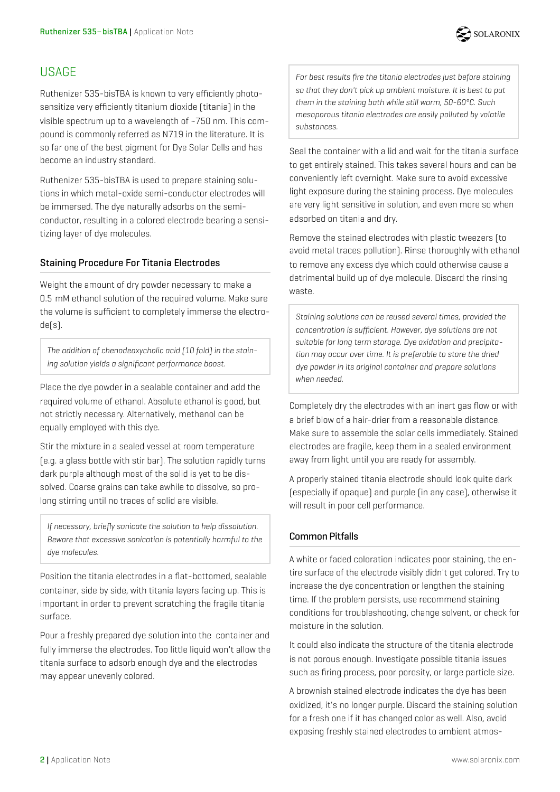

## **USAGE**

Ruthenizer 535-bisTBA is known to very efficiently photosensitize very efficiently titanium dioxide (titania) in the visible spectrum up to a wavelength of ~750 nm. This compound is commonly referred as N719 in the literature. It is so far one of the best pigment for Dye Solar Cells and has become an industry standard.

Ruthenizer 535-bisTBA is used to prepare staining solutions in which metal-oxide semi-conductor electrodes will be immersed. The dye naturally adsorbs on the semiconductor, resulting in a colored electrode bearing a sensitizing layer of dye molecules.

#### Staining Procedure For Titania Electrodes

Weight the amount of dry powder necessary to make a 0.5 mM ethanol solution of the required volume. Make sure the volume is sufficient to completely immerse the electrode(s).

*The addition of chenodeoxycholic acid (10 fold) in the staining solution yields a significant performance boost.* 

Place the dye powder in a sealable container and add the required volume of ethanol. Absolute ethanol is good, but not strictly necessary. Alternatively, methanol can be equally employed with this dye.

Stir the mixture in a sealed vessel at room temperature (e.g. a glass bottle with stir bar). The solution rapidly turns dark purple although most of the solid is yet to be dissolved. Coarse grains can take awhile to dissolve, so prolong stirring until no traces of solid are visible.

*If necessary, briefly sonicate the solution to help dissolution. Beware that excessive sonication is potentially harmful to the dye molecules.*

Position the titania electrodes in a flat-bottomed, sealable container, side by side, with titania layers facing up. This is important in order to prevent scratching the fragile titania surface.

Pour a freshly prepared dye solution into the container and fully immerse the electrodes. Too little liquid won't allow the titania surface to adsorb enough dye and the electrodes may appear unevenly colored.

*For best results fire the titania electrodes just before staining so that they don't pick up ambient moisture. It is best to put them in the staining bath while still warm, 50-60°C. Such mesoporous titania electrodes are easily polluted by volatile substances.*

Seal the container with a lid and wait for the titania surface to get entirely stained. This takes several hours and can be conveniently left overnight. Make sure to avoid excessive light exposure during the staining process. Dye molecules are very light sensitive in solution, and even more so when adsorbed on titania and dry.

Remove the stained electrodes with plastic tweezers (to avoid metal traces pollution). Rinse thoroughly with ethanol to remove any excess dye which could otherwise cause a detrimental build up of dye molecule. Discard the rinsing waste.

*Staining solutions can be reused several times, provided the concentration is sufficient. However, dye solutions are not suitable for long term storage. Dye oxidation and precipitation may occur over time. It is preferable to store the dried dye powder in its original container and prepare solutions when needed.*

Completely dry the electrodes with an inert gas flow or with a brief blow of a hair-drier from a reasonable distance. Make sure to assemble the solar cells immediately. Stained electrodes are fragile, keep them in a sealed environment away from light until you are ready for assembly.

A properly stained titania electrode should look quite dark (especially if opaque) and purple (in any case), otherwise it will result in poor cell performance.

### Common Pitfalls

A white or faded coloration indicates poor staining, the entire surface of the electrode visibly didn't get colored. Try to increase the dye concentration or lengthen the staining time. If the problem persists, use recommend staining conditions for troubleshooting, change solvent, or check for moisture in the solution.

It could also indicate the structure of the titania electrode is not porous enough. Investigate possible titania issues such as firing process, poor porosity, or large particle size.

A brownish stained electrode indicates the dye has been oxidized, it's no longer purple. Discard the staining solution for a fresh one if it has changed color as well. Also, avoid exposing freshly stained electrodes to ambient atmos-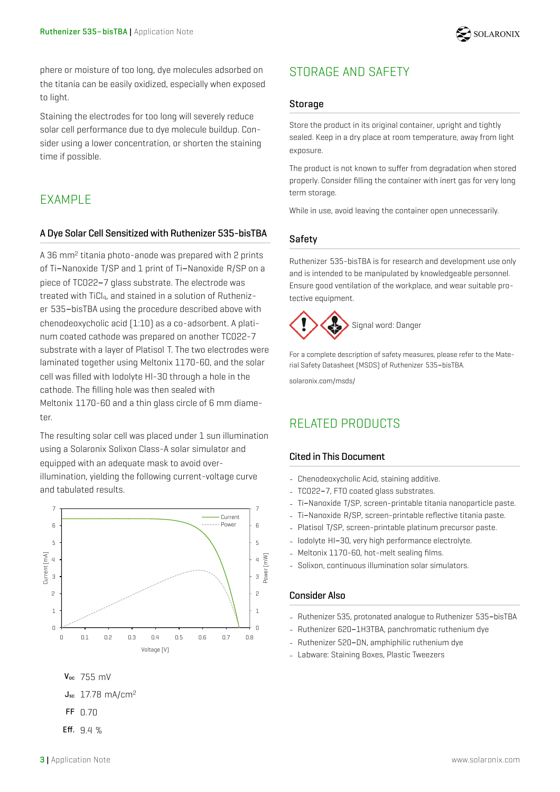

phere or moisture of too long, dye molecules adsorbed on the titania can be easily oxidized, especially when exposed to light.

Staining the electrodes for too long will severely reduce solar cell performance due to dye molecule buildup. Consider using a lower concentration, or shorten the staining time if possible.

## **FXAMPLE**

#### A Dye Solar Cell Sensitized with Ruthenizer 535-bisTBA

A 36 mm2 titania photo-anode was prepared with 2 prints of Ti-Nanoxide T/SP and 1 print of Ti-Nanoxide R/SP on a piece of TCO22-7 glass substrate. The electrode was treated with TiCl<sub>4</sub>, and stained in a solution of Ruthenizer 535-bisTBA using the procedure described above with chenodeoxycholic acid (1:10) as a co-adsorbent. A platinum coated cathode was prepared on another TCO22-7 substrate with a layer of Platisol T. The two electrodes were laminated together using Meltonix 1170-60, and the solar cell was filled with Iodolyte HI-30 through a hole in the cathode. The filling hole was then sealed with Meltonix 1170-60 and a thin glass circle of 6 mm diameter.

The resulting solar cell was placed under 1 sun illumination using a Solaronix Solixon Class-A solar simulator and equipped with an adequate mask to avoid overillumination, yielding the following current-voltage curve and tabulated results.



Eff. 9.4 %

# STORAGE AND SAFETY

#### **Storage**

Store the product in its original container, upright and tightly sealed. Keep in a dry place at room temperature, away from light exposure.

The product is not known to suffer from degradation when stored properly. Consider filling the container with inert gas for very long term storage.

While in use, avoid leaving the container open unnecessarily.

#### Safety

Ruthenizer 535-bisTBA is for research and development use only and is intended to be manipulated by knowledgeable personnel. Ensure good ventilation of the workplace, and wear suitable protective equipment.



For a complete description of safety measures, please refer to the Material Safety Datasheet (MSDS) of Ruthenizer 535-bisTBA.

solaronix.com/msds/

### RELATED PRODUCTS

#### Cited in This Document

- Chenodeoxycholic Acid, staining additive.
- TCO22-7, FTO coated glass substrates.
- Ti-Nanoxide T/SP, screen-printable titania nanoparticle paste.
- Ti-Nanoxide R/SP, screen-printable reflective titania paste.
- Platisol T/SP, screen-printable platinum precursor paste.
- Iodolyte HI-30, very high performance electrolyte.
- Meltonix 1170-60, hot-melt sealing films.
- Solixon, continuous illumination solar simulators.

#### Consider Also

- Ruthenizer 535, protonated analogue to Ruthenizer 535-bisTBA
- Ruthenizer 620-1H3TBA, panchromatic ruthenium dye
- Ruthenizer 520-DN, amphiphilic ruthenium dye
- Labware: Staining Boxes, Plastic Tweezers